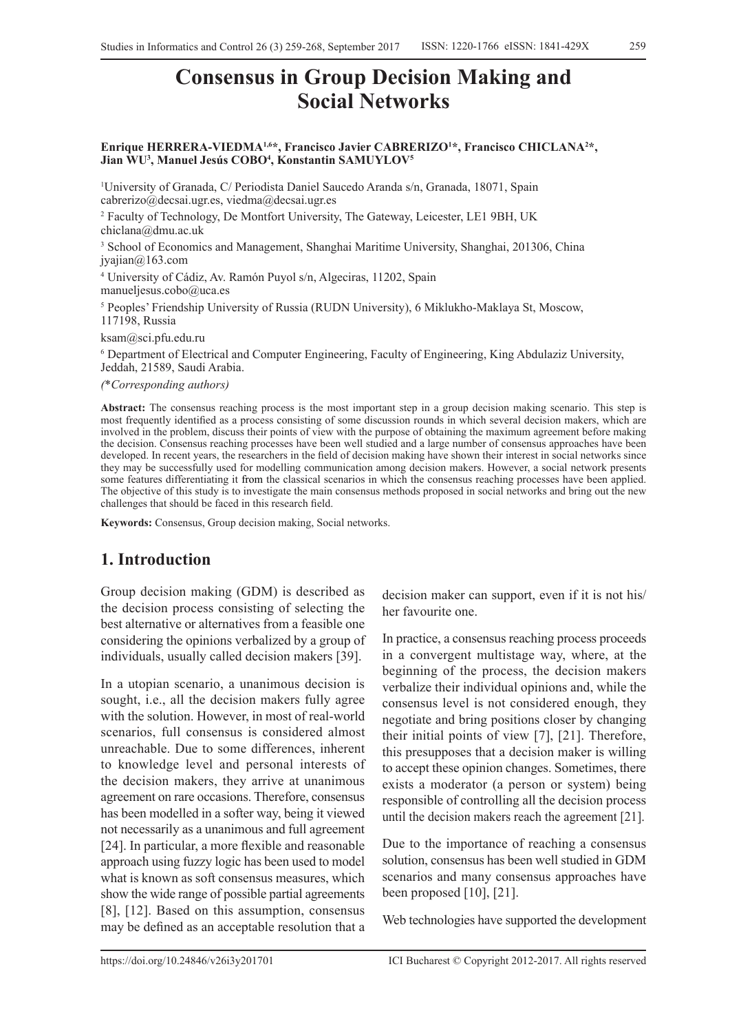# **Consensus in Group Decision Making and Social Networks**

#### Enrique HERRERA-VIEDMA<sup>1,6\*</sup>, Francisco Javier CABRERIZO<sup>1\*</sup>, Francisco CHICLANA<sup>2\*</sup>, **Jian WU3 , Manuel Jesús COBO4 , Konstantin SAMUYLOV5**

1 University of Granada, C/ Periodista Daniel Saucedo Aranda s/n, Granada, 18071, Spain cabrerizo@decsai.ugr.es, viedma@decsai.ugr.es

2 Faculty of Technology, De Montfort University, The Gateway, Leicester, LE1 9BH, UK chiclana@dmu.ac.uk

3 School of Economics and Management, Shanghai Maritime University, Shanghai, 201306, China jyajian@163.com

4 University of Cádiz, Av. Ramón Puyol s/n, Algeciras, 11202, Spain manueljesus.cobo $@$ uca.es

5 Peoples' Friendship University of Russia (RUDN University), 6 Miklukho-Maklaya St, Moscow, 117198, Russia

ksam@sci.pfu.edu.ru

6 Department of Electrical and Computer Engineering, Faculty of Engineering, King Abdulaziz University, Jeddah, 21589, Saudi Arabia.

*(*\**Corresponding authors)*

**Abstract:** The consensus reaching process is the most important step in a group decision making scenario. This step is most frequently identified as a process consisting of some discussion rounds in which several decision makers, which are involved in the problem, discuss their points of view with the purpose of obtaining the maximum agreement before making the decision. Consensus reaching processes have been well studied and a large number of consensus approaches have been developed. In recent years, the researchers in the field of decision making have shown their interest in social networks since they may be successfully used for modelling communication among decision makers. However, a social network presents some features differentiating it from the classical scenarios in which the consensus reaching processes have been applied. The objective of this study is to investigate the main consensus methods proposed in social networks and bring out the new challenges that should be faced in this research field.

**Keywords:** Consensus, Group decision making, Social networks.

# **1. Introduction**

Group decision making (GDM) is described as the decision process consisting of selecting the best alternative or alternatives from a feasible one considering the opinions verbalized by a group of individuals, usually called decision makers [39].

In a utopian scenario, a unanimous decision is sought, i.e., all the decision makers fully agree with the solution. However, in most of real-world scenarios, full consensus is considered almost unreachable. Due to some differences, inherent to knowledge level and personal interests of the decision makers, they arrive at unanimous agreement on rare occasions. Therefore, consensus has been modelled in a softer way, being it viewed not necessarily as a unanimous and full agreement [24]. In particular, a more flexible and reasonable approach using fuzzy logic has been used to model what is known as soft consensus measures, which show the wide range of possible partial agreements [8], [12]. Based on this assumption, consensus may be defined as an acceptable resolution that a

decision maker can support, even if it is not his/ her favourite one.

In practice, a consensus reaching process proceeds in a convergent multistage way, where, at the beginning of the process, the decision makers verbalize their individual opinions and, while the consensus level is not considered enough, they negotiate and bring positions closer by changing their initial points of view [7], [21]. Therefore, this presupposes that a decision maker is willing to accept these opinion changes. Sometimes, there exists a moderator (a person or system) being responsible of controlling all the decision process until the decision makers reach the agreement [21].

Due to the importance of reaching a consensus solution, consensus has been well studied in GDM scenarios and many consensus approaches have been proposed [10], [21].

Web technologies have supported the development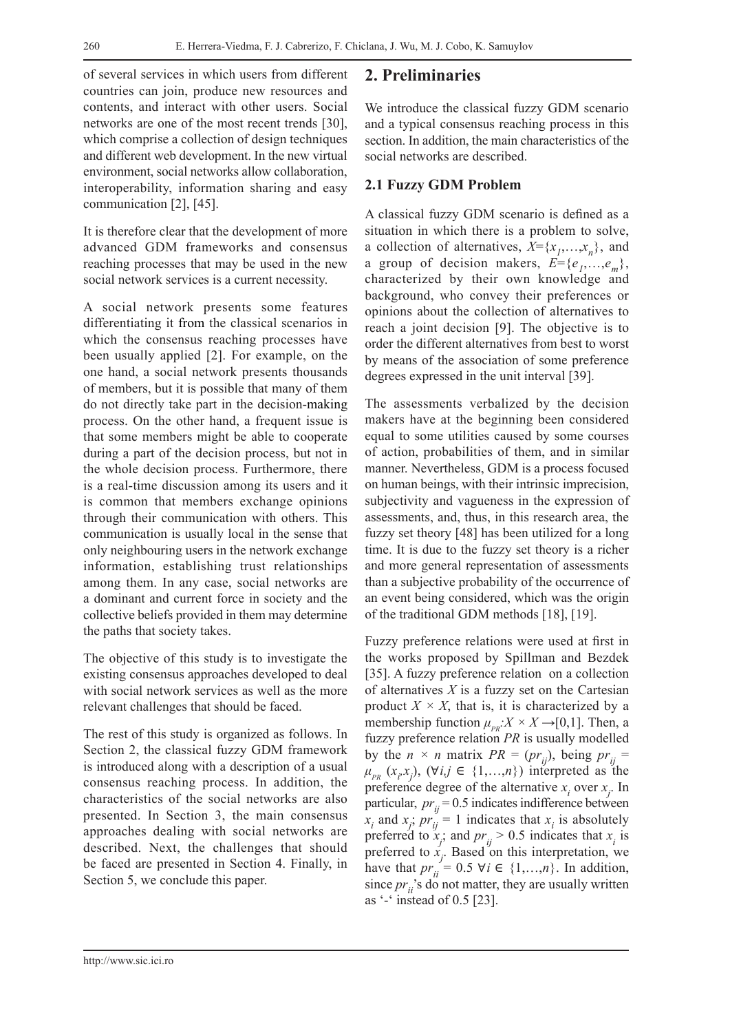of several services in which users from different countries can join, produce new resources and contents, and interact with other users. Social networks are one of the most recent trends [30], which comprise a collection of design techniques and different web development. In the new virtual environment, social networks allow collaboration, interoperability, information sharing and easy communication [2], [45].

It is therefore clear that the development of more advanced GDM frameworks and consensus reaching processes that may be used in the new social network services is a current necessity.

A social network presents some features differentiating it from the classical scenarios in which the consensus reaching processes have been usually applied [2]. For example, on the one hand, a social network presents thousands of members, but it is possible that many of them do not directly take part in the decision-making process. On the other hand, a frequent issue is that some members might be able to cooperate during a part of the decision process, but not in the whole decision process. Furthermore, there is a real-time discussion among its users and it is common that members exchange opinions through their communication with others. This communication is usually local in the sense that only neighbouring users in the network exchange information, establishing trust relationships among them. In any case, social networks are a dominant and current force in society and the collective beliefs provided in them may determine the paths that society takes.

The objective of this study is to investigate the existing consensus approaches developed to deal with social network services as well as the more relevant challenges that should be faced.

The rest of this study is organized as follows. In Section 2, the classical fuzzy GDM framework is introduced along with a description of a usual consensus reaching process. In addition, the characteristics of the social networks are also presented. In Section 3, the main consensus approaches dealing with social networks are described. Next, the challenges that should be faced are presented in Section 4. Finally, in Section 5, we conclude this paper.

## **2. Preliminaries**

We introduce the classical fuzzy GDM scenario and a typical consensus reaching process in this section. In addition, the main characteristics of the social networks are described.

### **2.1 Fuzzy GDM Problem**

A classical fuzzy GDM scenario is defined as a situation in which there is a problem to solve, a collection of alternatives,  $X = \{x_1, \ldots, x_n\}$ , and a group of decision makers,  $E = \{e_1, \ldots, e_m\}$ , characterized by their own knowledge and background, who convey their preferences or opinions about the collection of alternatives to reach a joint decision [9]. The objective is to order the different alternatives from best to worst by means of the association of some preference degrees expressed in the unit interval [39].

The assessments verbalized by the decision makers have at the beginning been considered equal to some utilities caused by some courses of action, probabilities of them, and in similar manner. Nevertheless, GDM is a process focused on human beings, with their intrinsic imprecision, subjectivity and vagueness in the expression of assessments, and, thus, in this research area, the fuzzy set theory [48] has been utilized for a long time. It is due to the fuzzy set theory is a richer and more general representation of assessments than a subjective probability of the occurrence of an event being considered, which was the origin of the traditional GDM methods [18], [19].

Fuzzy preference relations were used at first in the works proposed by Spillman and Bezdek [35]. A fuzzy preference relation on a collection of alternatives  $X$  is a fuzzy set on the Cartesian product  $X \times X$ , that is, it is characterized by a membership function  $\mu_{PR}: X \times X \rightarrow [0,1]$ . Then, a fuzzy preference relation *PR* is usually modelled by the  $n \times n$  matrix  $PR = (pr_{ij})$ , being  $pr_{ij}$  =  $\mu_{PR}$  (*x<sub>p</sub>x<sub>j</sub>*), ( $\forall i, j \in \{1, ..., n\}$ ) interpreted as the preference degree of the alternative  $x_i$  over  $x_j$ . In particular,  $pr_{ij} = 0.5$  indicates indifference between  $x_i$  and  $x_j$ ;  $pr_{ij} = 1$  indicates that  $x_i$  is absolutely preferred to  $x_j$ ; and  $pr_{ij} > 0.5$  indicates that  $x_i$  is preferred to  $x_j$ . Based on this interpretation, we have that  $pr_{ii} = 0.5 \forall i \in \{1, ..., n\}$ . In addition, since  $pr_{ii}$ 's do not matter, they are usually written as '-' instead of 0.5 [23].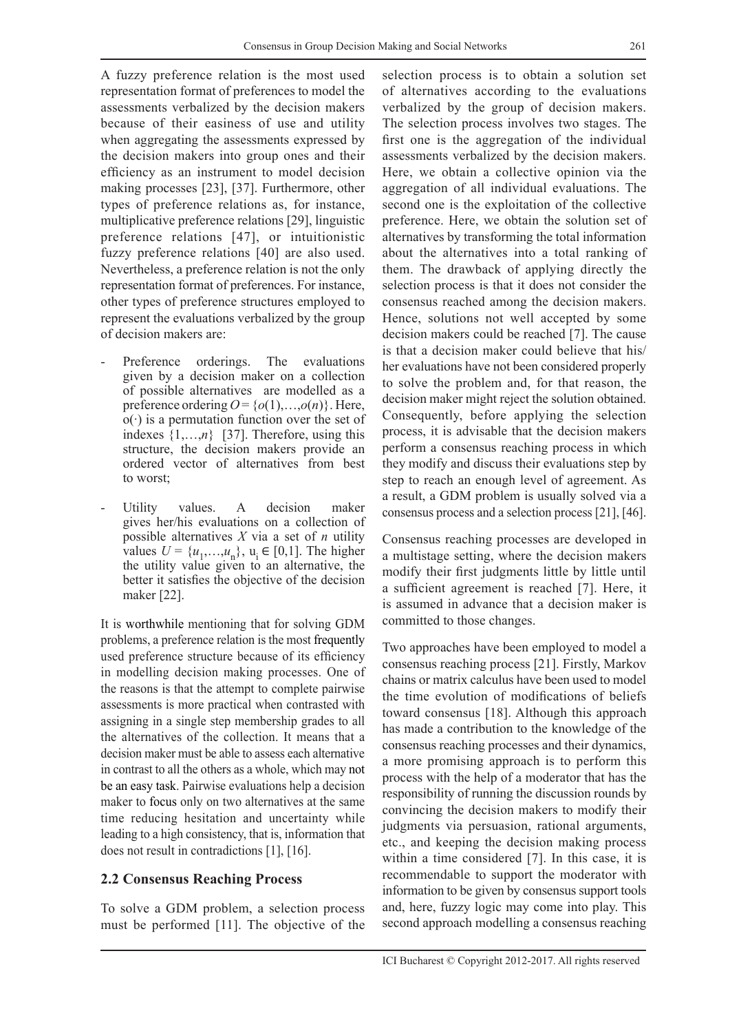A fuzzy preference relation is the most used representation format of preferences to model the assessments verbalized by the decision makers because of their easiness of use and utility when aggregating the assessments expressed by the decision makers into group ones and their efficiency as an instrument to model decision making processes [23], [37]. Furthermore, other types of preference relations as, for instance, multiplicative preference relations [29], linguistic preference relations [47], or intuitionistic fuzzy preference relations [40] are also used. Nevertheless, a preference relation is not the only representation format of preferences. For instance, other types of preference structures employed to represent the evaluations verbalized by the group of decision makers are:

- Preference orderings. The evaluations given by a decision maker on a collection of possible alternatives are modelled as a preference ordering  $O = \{o(1), \ldots, o(n)\}\$ . Here, o(∙) is a permutation function over the set of indexes {1,…,*n*} [37]. Therefore, using this structure, the decision makers provide an ordered vector of alternatives from best to worst;
- Utility values. A decision maker gives her/his evaluations on a collection of possible alternatives *X* via a set of *n* utility values *U* = { $u_1$ ,..., $u_n$ },  $u_i$  ∈ [0,1]. The higher the utility value given to an alternative, the better it satisfies the objective of the decision maker [22].

It is worthwhile mentioning that for solving GDM problems, a preference relation is the most frequently used preference structure because of its efficiency in modelling decision making processes. One of the reasons is that the attempt to complete pairwise assessments is more practical when contrasted with assigning in a single step membership grades to all the alternatives of the collection. It means that a decision maker must be able to assess each alternative in contrast to all the others as a whole, which may not be an easy task. Pairwise evaluations help a decision maker to focus only on two alternatives at the same time reducing hesitation and uncertainty while leading to a high consistency, that is, information that does not result in contradictions [1], [16].

#### **2.2 Consensus Reaching Process**

To solve a GDM problem, a selection process must be performed [11]. The objective of the selection process is to obtain a solution set of alternatives according to the evaluations verbalized by the group of decision makers. The selection process involves two stages. The first one is the aggregation of the individual assessments verbalized by the decision makers. Here, we obtain a collective opinion via the aggregation of all individual evaluations. The second one is the exploitation of the collective preference. Here, we obtain the solution set of alternatives by transforming the total information about the alternatives into a total ranking of them. The drawback of applying directly the selection process is that it does not consider the consensus reached among the decision makers. Hence, solutions not well accepted by some decision makers could be reached [7]. The cause is that a decision maker could believe that his/ her evaluations have not been considered properly to solve the problem and, for that reason, the decision maker might reject the solution obtained. Consequently, before applying the selection process, it is advisable that the decision makers perform a consensus reaching process in which they modify and discuss their evaluations step by step to reach an enough level of agreement. As a result, a GDM problem is usually solved via a consensus process and a selection process [21], [46].

Consensus reaching processes are developed in a multistage setting, where the decision makers modify their first judgments little by little until a sufficient agreement is reached [7]. Here, it is assumed in advance that a decision maker is committed to those changes.

Two approaches have been employed to model a consensus reaching process [21]. Firstly, Markov chains or matrix calculus have been used to model the time evolution of modifications of beliefs toward consensus [18]. Although this approach has made a contribution to the knowledge of the consensus reaching processes and their dynamics, a more promising approach is to perform this process with the help of a moderator that has the responsibility of running the discussion rounds by convincing the decision makers to modify their judgments via persuasion, rational arguments, etc., and keeping the decision making process within a time considered [7]. In this case, it is recommendable to support the moderator with information to be given by consensus support tools and, here, fuzzy logic may come into play. This second approach modelling a consensus reaching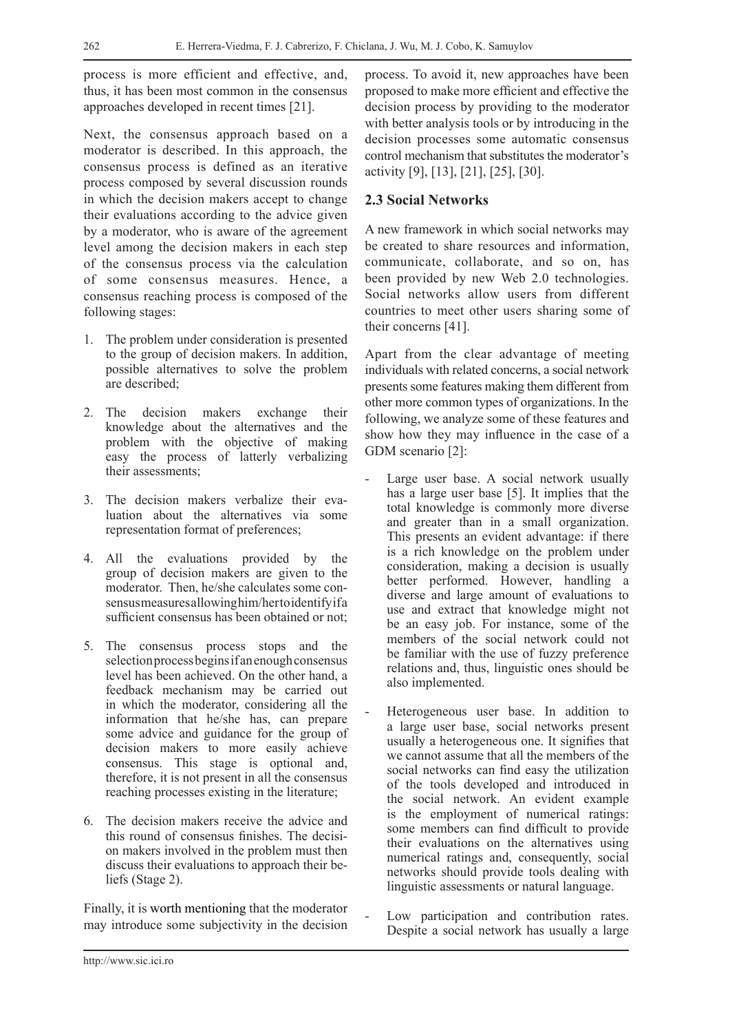process is more efficient and effective, and, thus, it has been most common in the consensus approaches developed in recent times [21].

Next, the consensus approach based on a moderator is described. In this approach, the consensus process is defined as an iterative process composed by several discussion rounds in which the decision makers accept to change their evaluations according to the advice given by a moderator, who is aware of the agreement level among the decision makers in each step of the consensus process via the calculation of some consensus measures. Hence, a consensus reaching process is composed of the following stages:

- 1. The problem under consideration is presented to the group of decision makers. In addition, possible alternatives to solve the problem are described;
- 2. The decision makers exchange their knowledge about the alternatives and the problem with the objective of making easy the process of latterly verbalizing their assessments;
- 3. The decision makers verbalize their evaluation about the alternatives via some representation format of preferences;
- 4. All the evaluations provided by the group of decision makers are given to the moderator. Then, he/she calculates some consensus measures allowing him/her to identify if a sufficient consensus has been obtained or not;
- 5. The consensus process stops and the selection process begins if an enough consensus level has been achieved. On the other hand, a feedback mechanism may be carried out in which the moderator, considering all the information that he/she has, can prepare some advice and guidance for the group of decision makers to more easily achieve consensus. This stage is optional and, therefore, it is not present in all the consensus reaching processes existing in the literature;
- 6. The decision makers receive the advice and this round of consensus finishes. The decision makers involved in the problem must then discuss their evaluations to approach their beliefs (Stage 2).

Finally, it is worth mentioning that the moderator may introduce some subjectivity in the decision process. To avoid it, new approaches have been proposed to make more efficient and effective the decision process by providing to the moderator with better analysis tools or by introducing in the decision processes some automatic consensus control mechanism that substitutes the moderator's activity [9], [13], [21], [25], [30].

## **2.3 Social Networks**

A new framework in which social networks may be created to share resources and information, communicate, collaborate, and so on, has been provided by new Web 2.0 technologies. Social networks allow users from different countries to meet other users sharing some of their concerns [41].

Apart from the clear advantage of meeting individuals with related concerns, a social network presents some features making them different from other more common types of organizations. In the following, we analyze some of these features and show how they may influence in the case of a GDM scenario [2]:

- Large user base. A social network usually has a large user base [5]. It implies that the total knowledge is commonly more diverse and greater than in a small organization. This presents an evident advantage: if there is a rich knowledge on the problem under consideration, making a decision is usually better performed. However, handling a diverse and large amount of evaluations to use and extract that knowledge might not be an easy job. For instance, some of the members of the social network could not be familiar with the use of fuzzy preference relations and, thus, linguistic ones should be also implemented.
- Heterogeneous user base. In addition to a large user base, social networks present usually a heterogeneous one. It signifies that we cannot assume that all the members of the social networks can find easy the utilization of the tools developed and introduced in the social network. An evident example is the employment of numerical ratings: some members can find difficult to provide their evaluations on the alternatives using numerical ratings and, consequently, social networks should provide tools dealing with linguistic assessments or natural language.
- Low participation and contribution rates. Despite a social network has usually a large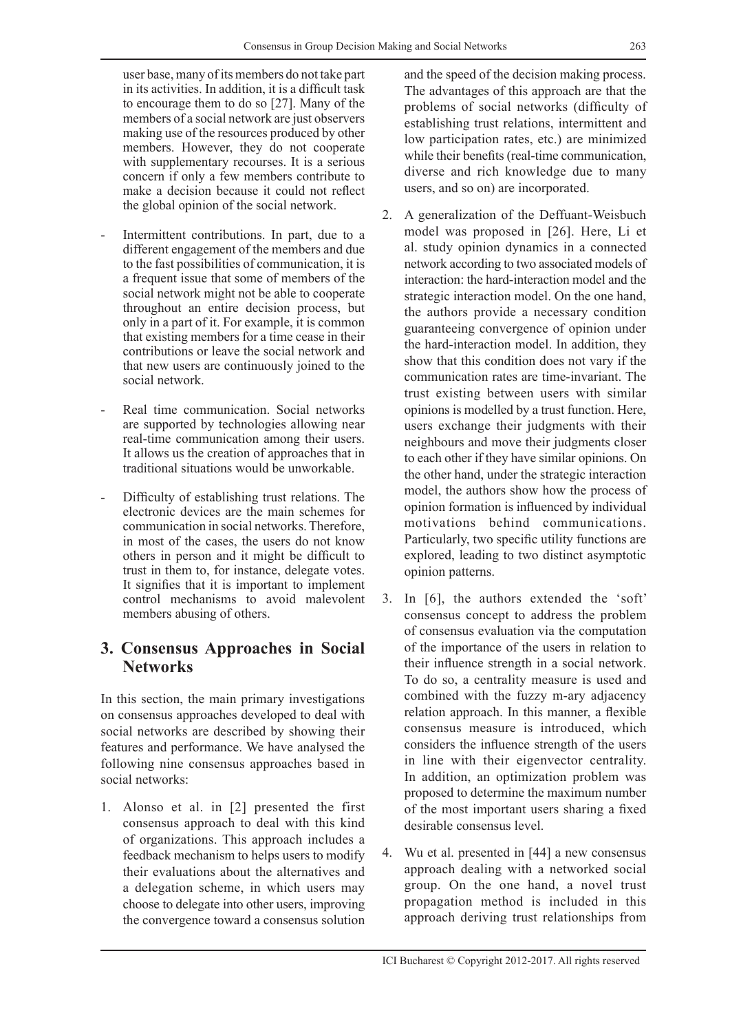user base, many of its members do not take part in its activities. In addition, it is a difficult task to encourage them to do so [27]. Many of the members of a social network are just observers making use of the resources produced by other members. However, they do not cooperate with supplementary recourses. It is a serious concern if only a few members contribute to make a decision because it could not reflect the global opinion of the social network.

- Intermittent contributions. In part, due to a different engagement of the members and due to the fast possibilities of communication, it is a frequent issue that some of members of the social network might not be able to cooperate throughout an entire decision process, but only in a part of it. For example, it is common that existing members for a time cease in their contributions or leave the social network and that new users are continuously joined to the social network.
- Real time communication. Social networks are supported by technologies allowing near real-time communication among their users. It allows us the creation of approaches that in traditional situations would be unworkable.
- Difficulty of establishing trust relations. The electronic devices are the main schemes for communication in social networks. Therefore, in most of the cases, the users do not know others in person and it might be difficult to trust in them to, for instance, delegate votes. It signifies that it is important to implement control mechanisms to avoid malevolent members abusing of others.

## **3. Consensus Approaches in Social Networks**

In this section, the main primary investigations on consensus approaches developed to deal with social networks are described by showing their features and performance. We have analysed the following nine consensus approaches based in social networks:

1. Alonso et al. in [2] presented the first consensus approach to deal with this kind of organizations. This approach includes a feedback mechanism to helps users to modify their evaluations about the alternatives and a delegation scheme, in which users may choose to delegate into other users, improving the convergence toward a consensus solution and the speed of the decision making process. The advantages of this approach are that the problems of social networks (difficulty of establishing trust relations, intermittent and low participation rates, etc.) are minimized while their benefits (real-time communication, diverse and rich knowledge due to many users, and so on) are incorporated.

- 2. A generalization of the Deffuant-Weisbuch model was proposed in [26]. Here, Li et al. study opinion dynamics in a connected network according to two associated models of interaction: the hard-interaction model and the strategic interaction model. On the one hand, the authors provide a necessary condition guaranteeing convergence of opinion under the hard-interaction model. In addition, they show that this condition does not vary if the communication rates are time-invariant. The trust existing between users with similar opinions is modelled by a trust function. Here, users exchange their judgments with their neighbours and move their judgments closer to each other if they have similar opinions. On the other hand, under the strategic interaction model, the authors show how the process of opinion formation is influenced by individual motivations behind communications. Particularly, two specific utility functions are explored, leading to two distinct asymptotic opinion patterns.
- 3. In [6], the authors extended the 'soft' consensus concept to address the problem of consensus evaluation via the computation of the importance of the users in relation to their influence strength in a social network. To do so, a centrality measure is used and combined with the fuzzy m-ary adjacency relation approach. In this manner, a flexible consensus measure is introduced, which considers the influence strength of the users in line with their eigenvector centrality. In addition, an optimization problem was proposed to determine the maximum number of the most important users sharing a fixed desirable consensus level.
- 4. Wu et al. presented in [44] a new consensus approach dealing with a networked social group. On the one hand, a novel trust propagation method is included in this approach deriving trust relationships from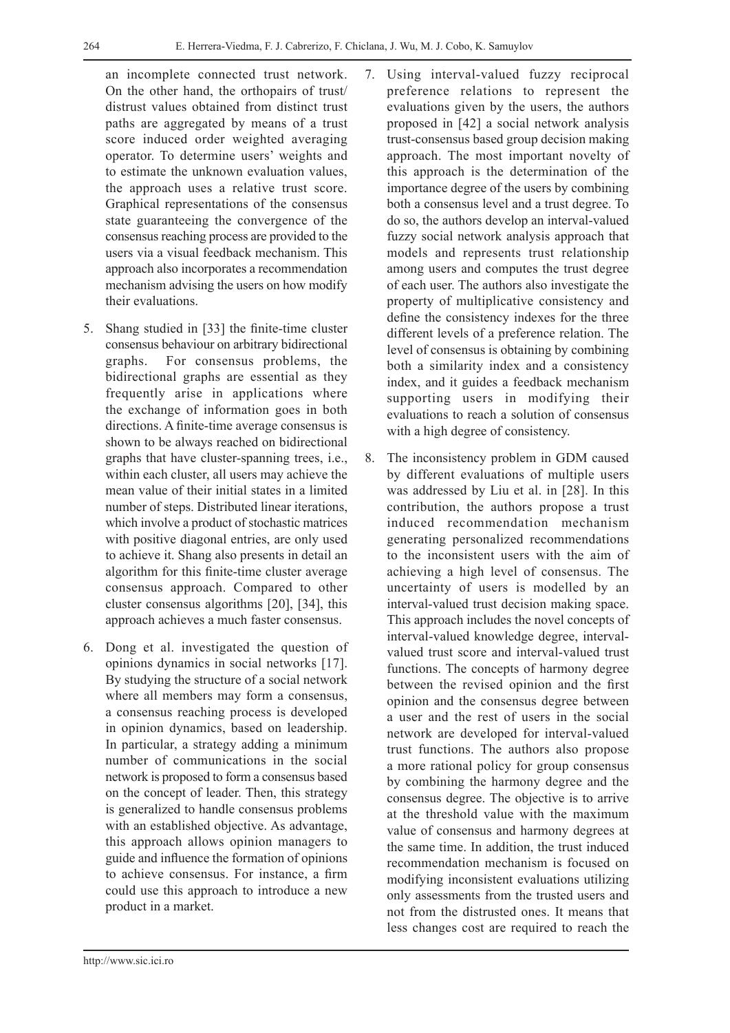an incomplete connected trust network. On the other hand, the orthopairs of trust/ distrust values obtained from distinct trust paths are aggregated by means of a trust score induced order weighted averaging operator. To determine users' weights and to estimate the unknown evaluation values, the approach uses a relative trust score. Graphical representations of the consensus state guaranteeing the convergence of the consensus reaching process are provided to the users via a visual feedback mechanism. This approach also incorporates a recommendation mechanism advising the users on how modify their evaluations.

- 5. Shang studied in [33] the finite-time cluster consensus behaviour on arbitrary bidirectional graphs. For consensus problems, the bidirectional graphs are essential as they frequently arise in applications where the exchange of information goes in both directions. A finite-time average consensus is shown to be always reached on bidirectional graphs that have cluster-spanning trees, i.e., within each cluster, all users may achieve the mean value of their initial states in a limited number of steps. Distributed linear iterations, which involve a product of stochastic matrices with positive diagonal entries, are only used to achieve it. Shang also presents in detail an algorithm for this finite-time cluster average consensus approach. Compared to other cluster consensus algorithms [20], [34], this approach achieves a much faster consensus.
- 6. Dong et al. investigated the question of opinions dynamics in social networks [17]. By studying the structure of a social network where all members may form a consensus, a consensus reaching process is developed in opinion dynamics, based on leadership. In particular, a strategy adding a minimum number of communications in the social network is proposed to form a consensus based on the concept of leader. Then, this strategy is generalized to handle consensus problems with an established objective. As advantage, this approach allows opinion managers to guide and influence the formation of opinions to achieve consensus. For instance, a firm could use this approach to introduce a new product in a market.
- 7. Using interval-valued fuzzy reciprocal preference relations to represent the evaluations given by the users, the authors proposed in [42] a social network analysis trust-consensus based group decision making approach. The most important novelty of this approach is the determination of the importance degree of the users by combining both a consensus level and a trust degree. To do so, the authors develop an interval-valued fuzzy social network analysis approach that models and represents trust relationship among users and computes the trust degree of each user. The authors also investigate the property of multiplicative consistency and define the consistency indexes for the three different levels of a preference relation. The level of consensus is obtaining by combining both a similarity index and a consistency index, and it guides a feedback mechanism supporting users in modifying their evaluations to reach a solution of consensus with a high degree of consistency.
- 8. The inconsistency problem in GDM caused by different evaluations of multiple users was addressed by Liu et al. in [28]. In this contribution, the authors propose a trust induced recommendation mechanism generating personalized recommendations to the inconsistent users with the aim of achieving a high level of consensus. The uncertainty of users is modelled by an interval-valued trust decision making space. This approach includes the novel concepts of interval-valued knowledge degree, intervalvalued trust score and interval-valued trust functions. The concepts of harmony degree between the revised opinion and the first opinion and the consensus degree between a user and the rest of users in the social network are developed for interval-valued trust functions. The authors also propose a more rational policy for group consensus by combining the harmony degree and the consensus degree. The objective is to arrive at the threshold value with the maximum value of consensus and harmony degrees at the same time. In addition, the trust induced recommendation mechanism is focused on modifying inconsistent evaluations utilizing only assessments from the trusted users and not from the distrusted ones. It means that less changes cost are required to reach the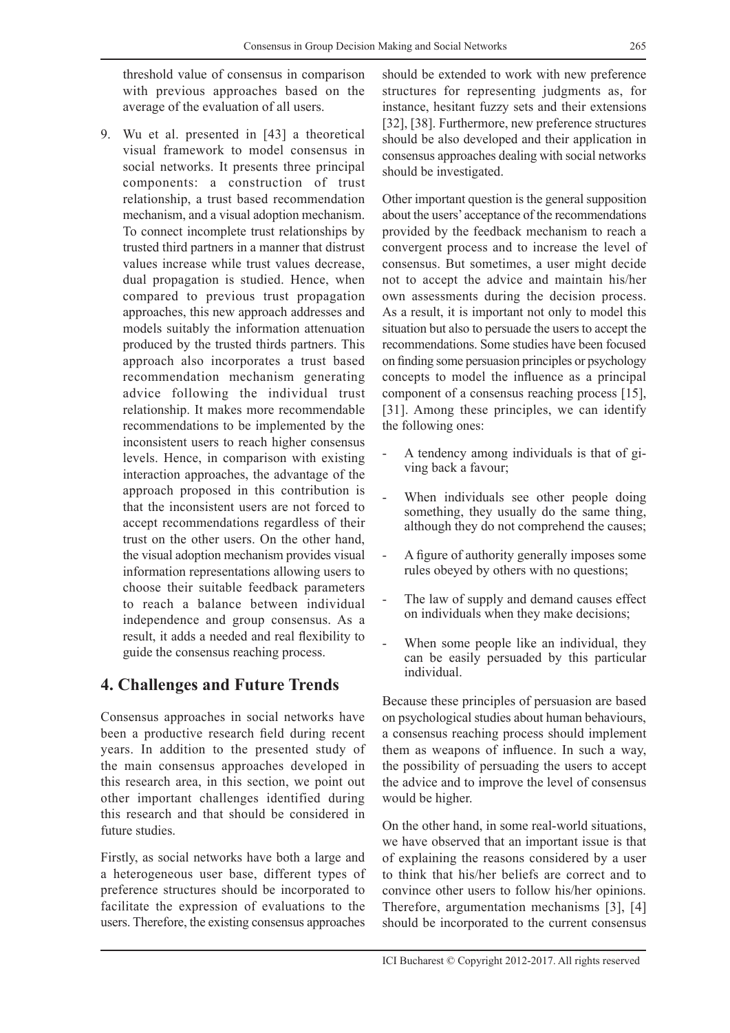threshold value of consensus in comparison with previous approaches based on the average of the evaluation of all users.

9. Wu et al. presented in [43] a theoretical visual framework to model consensus in social networks. It presents three principal components: a construction of trust relationship, a trust based recommendation mechanism, and a visual adoption mechanism. To connect incomplete trust relationships by trusted third partners in a manner that distrust values increase while trust values decrease, dual propagation is studied. Hence, when compared to previous trust propagation approaches, this new approach addresses and models suitably the information attenuation produced by the trusted thirds partners. This approach also incorporates a trust based recommendation mechanism generating advice following the individual trust relationship. It makes more recommendable recommendations to be implemented by the inconsistent users to reach higher consensus levels. Hence, in comparison with existing interaction approaches, the advantage of the approach proposed in this contribution is that the inconsistent users are not forced to accept recommendations regardless of their trust on the other users. On the other hand, the visual adoption mechanism provides visual information representations allowing users to choose their suitable feedback parameters to reach a balance between individual independence and group consensus. As a result, it adds a needed and real flexibility to guide the consensus reaching process.

# **4. Challenges and Future Trends**

Consensus approaches in social networks have been a productive research field during recent years. In addition to the presented study of the main consensus approaches developed in this research area, in this section, we point out other important challenges identified during this research and that should be considered in future studies.

Firstly, as social networks have both a large and a heterogeneous user base, different types of preference structures should be incorporated to facilitate the expression of evaluations to the users. Therefore, the existing consensus approaches

should be extended to work with new preference structures for representing judgments as, for instance, hesitant fuzzy sets and their extensions [32], [38]. Furthermore, new preference structures should be also developed and their application in consensus approaches dealing with social networks should be investigated.

Other important question is the general supposition about the users' acceptance of the recommendations provided by the feedback mechanism to reach a convergent process and to increase the level of consensus. But sometimes, a user might decide not to accept the advice and maintain his/her own assessments during the decision process. As a result, it is important not only to model this situation but also to persuade the users to accept the recommendations. Some studies have been focused on finding some persuasion principles or psychology concepts to model the influence as a principal component of a consensus reaching process [15], [31]. Among these principles, we can identify the following ones:

- A tendency among individuals is that of giving back a favour;
- When individuals see other people doing something, they usually do the same thing, although they do not comprehend the causes;
- A figure of authority generally imposes some rules obeyed by others with no questions;
- The law of supply and demand causes effect on individuals when they make decisions;
- When some people like an individual, they can be easily persuaded by this particular individual.

Because these principles of persuasion are based on psychological studies about human behaviours, a consensus reaching process should implement them as weapons of influence. In such a way, the possibility of persuading the users to accept the advice and to improve the level of consensus would be higher.

On the other hand, in some real-world situations, we have observed that an important issue is that of explaining the reasons considered by a user to think that his/her beliefs are correct and to convince other users to follow his/her opinions. Therefore, argumentation mechanisms [3], [4] should be incorporated to the current consensus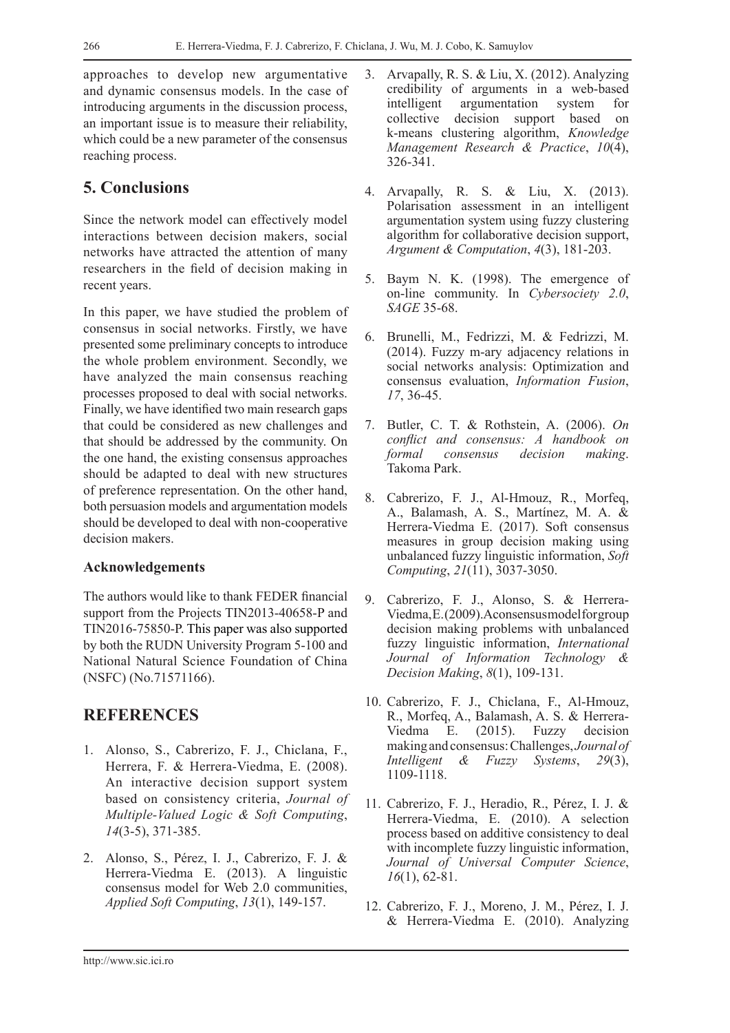approaches to develop new argumentative and dynamic consensus models. In the case of introducing arguments in the discussion process, an important issue is to measure their reliability, which could be a new parameter of the consensus reaching process.

# **5. Conclusions**

Since the network model can effectively model interactions between decision makers, social networks have attracted the attention of many researchers in the field of decision making in recent years.

In this paper, we have studied the problem of consensus in social networks. Firstly, we have presented some preliminary concepts to introduce the whole problem environment. Secondly, we have analyzed the main consensus reaching processes proposed to deal with social networks. Finally, we have identified two main research gaps that could be considered as new challenges and that should be addressed by the community. On the one hand, the existing consensus approaches should be adapted to deal with new structures of preference representation. On the other hand, both persuasion models and argumentation models should be developed to deal with non-cooperative decision makers.

#### **Acknowledgements**

The authors would like to thank FEDER financial support from the Projects TIN2013-40658-P and TIN2016-75850-P. This paper was also supported by both the RUDN University Program 5-100 and National Natural Science Foundation of China (NSFC) (No.71571166).

# **REFERENCES**

- 1. Alonso, S., Cabrerizo, F. J., Chiclana, F., Herrera, F. & Herrera-Viedma, E. (2008). An interactive decision support system based on consistency criteria, *Journal of Multiple-Valued Logic & Soft Computing*, *14*(3-5), 371-385.
- 2. Alonso, S., Pérez, I. J., Cabrerizo, F. J. & Herrera-Viedma E. (2013). A linguistic consensus model for Web 2.0 communities, *Applied Soft Computing*, *13*(1), 149-157.
- 3. Arvapally, R. S. & Liu, X. (2012). Analyzing credibility of arguments in a web-based intelligent argumentation system for collective decision support based on k-means clustering algorithm, *Knowledge Management Research & Practice*, *10*(4), 326-341.
- 4. Arvapally, R. S. & Liu, X. (2013). Polarisation assessment in an intelligent argumentation system using fuzzy clustering algorithm for collaborative decision support, *Argument & Computation*, *4*(3), 181-203.
- 5. Baym N. K. (1998). The emergence of on-line community. In *Cybersociety 2.0*, *SAGE* 35-68.
- 6. Brunelli, M., Fedrizzi, M. & Fedrizzi, M. (2014). Fuzzy m-ary adjacency relations in social networks analysis: Optimization and consensus evaluation, *Information Fusion*, *17*, 36-45.
- 7. Butler, C. T. & Rothstein, A. (2006). *On conflict and consensus: A handbook on formal consensus decision making*. Takoma Park.
- 8. Cabrerizo, F. J., Al-Hmouz, R., Morfeq, A., Balamash, A. S., Martínez, M. A. & Herrera-Viedma E. (2017). Soft consensus measures in group decision making using unbalanced fuzzy linguistic information, *Soft Computing*, *21*(11), 3037-3050.
- 9. Cabrerizo, F. J., Alonso, S. & Herrera-Viedma, E. (2009). A consensus model for group decision making problems with unbalanced fuzzy linguistic information, *International Journal of Information Technology & Decision Making*, *8*(1), 109-131.
- 10. Cabrerizo, F. J., Chiclana, F., Al-Hmouz, R., Morfeq, A., Balamash, A. S. & Herrera-Viedma E. (2015). Fuzzy decision making and consensus: Challenges, *Journal of Intelligent & Fuzzy Systems*, *29*(3), 1109-1118.
- 11. Cabrerizo, F. J., Heradio, R., Pérez, I. J. & Herrera-Viedma, E. (2010). A selection process based on additive consistency to deal with incomplete fuzzy linguistic information, *Journal of Universal Computer Science*, *16*(1), 62-81.
- 12. Cabrerizo, F. J., Moreno, J. M., Pérez, I. J. & Herrera-Viedma E. (2010). Analyzing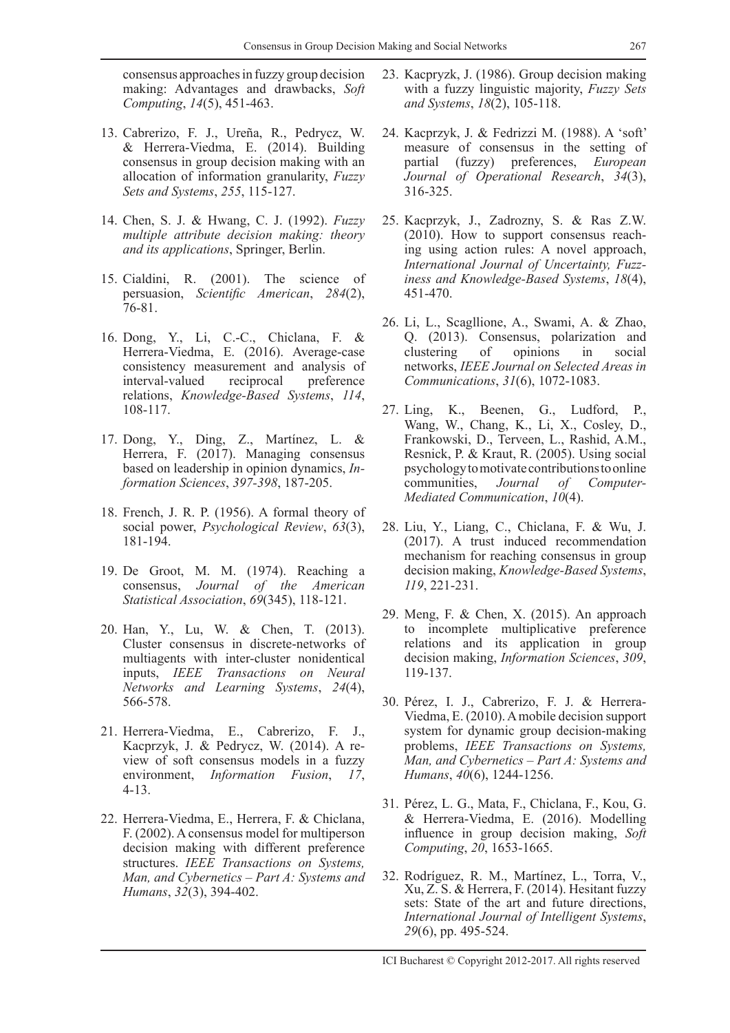consensus approaches in fuzzy group decision making: Advantages and drawbacks, *Soft Computing*, *14*(5), 451-463.

- 13. Cabrerizo, F. J., Ureña, R., Pedrycz, W. & Herrera-Viedma, E. (2014). Building consensus in group decision making with an allocation of information granularity, *Fuzzy Sets and Systems*, *255*, 115-127.
- 14. Chen, S. J. & Hwang, C. J. (1992). *Fuzzy multiple attribute decision making: theory and its applications*, Springer, Berlin.
- 15. Cialdini, R. (2001). The science of persuasion, *Scientific American*, *284*(2),  $76 - 81$ .
- 16. Dong, Y., Li, C.-C., Chiclana, F. & Herrera-Viedma, E. (2016). Average-case consistency measurement and analysis of interval-valued reciprocal preference relations, *Knowledge-Based Systems*, *114*, 108-117.
- 17. Dong, Y., Ding, Z., Martínez, L. & Herrera, F. (2017). Managing consensus based on leadership in opinion dynamics, *Information Sciences*, *397-398*, 187-205.
- 18. French, J. R. P. (1956). A formal theory of social power, *Psychological Review*, *63*(3), 181-194.
- 19. De Groot, M. M. (1974). Reaching a consensus, *Journal of the American Statistical Association*, *69*(345), 118-121.
- 20. Han, Y., Lu, W. & Chen, T. (2013). Cluster consensus in discrete-networks of multiagents with inter-cluster nonidentical inputs, *IEEE Transactions on Neural Networks and Learning Systems*, *24*(4), 566-578.
- 21. Herrera-Viedma, E., Cabrerizo, F. J., Kacprzyk, J. & Pedrycz, W. (2014). A review of soft consensus models in a fuzzy environment, *Information Fusion*, *17*, 4-13.
- 22. Herrera-Viedma, E., Herrera, F. & Chiclana, F. (2002). A consensus model for multiperson decision making with different preference structures. *IEEE Transactions on Systems, Man, and Cybernetics – Part A: Systems and Humans*, *32*(3), 394-402.
- 23. Kacpryzk, J. (1986). Group decision making with a fuzzy linguistic majority, *Fuzzy Sets and Systems*, *18*(2), 105-118.
- 24. Kacprzyk, J. & Fedrizzi M. (1988). A 'soft' measure of consensus in the setting of partial (fuzzy) preferences, *European Journal of Operational Research*, *34*(3), 316-325.
- 25. Kacprzyk, J., Zadrozny, S. & Ras Z.W. (2010). How to support consensus reaching using action rules: A novel approach, *International Journal of Uncertainty, Fuzziness and Knowledge-Based Systems*, *18*(4), 451-470.
- 26. Li, L., Scagllione, A., Swami, A. & Zhao, Q. (2013). Consensus, polarization and clustering of opinions in social networks, *IEEE Journal on Selected Areas in Communications*, *31*(6), 1072-1083.
- 27. Ling, K., Beenen, G., Ludford, P., Wang, W., Chang, K., Li, X., Cosley, D., Frankowski, D., Terveen, L., Rashid, A.M., Resnick, P. & Kraut, R. (2005). Using social psychology to motivate contributions to online communities, *Journal of Computer-Mediated Communication*, *10*(4).
- 28. Liu, Y., Liang, C., Chiclana, F. & Wu, J. (2017). A trust induced recommendation mechanism for reaching consensus in group decision making, *Knowledge-Based Systems*, *119*, 221-231.
- 29. Meng, F. & Chen, X. (2015). An approach to incomplete multiplicative preference relations and its application in group decision making, *Information Sciences*, *309*, 119-137.
- 30. Pérez, I. J., Cabrerizo, F. J. & Herrera-Viedma, E. (2010). A mobile decision support system for dynamic group decision-making problems, *IEEE Transactions on Systems, Man, and Cybernetics – Part A: Systems and Humans*, *40*(6), 1244-1256.
- 31. Pérez, L. G., Mata, F., Chiclana, F., Kou, G. & Herrera-Viedma, E. (2016). Modelling influence in group decision making, *Soft Computing*, *20*, 1653-1665.
- 32. Rodríguez, R. M., Martínez, L., Torra, V., Xu, Z. S. & Herrera, F. (2014). Hesitant fuzzy sets: State of the art and future directions, *International Journal of Intelligent Systems*, *29*(6), pp. 495-524.